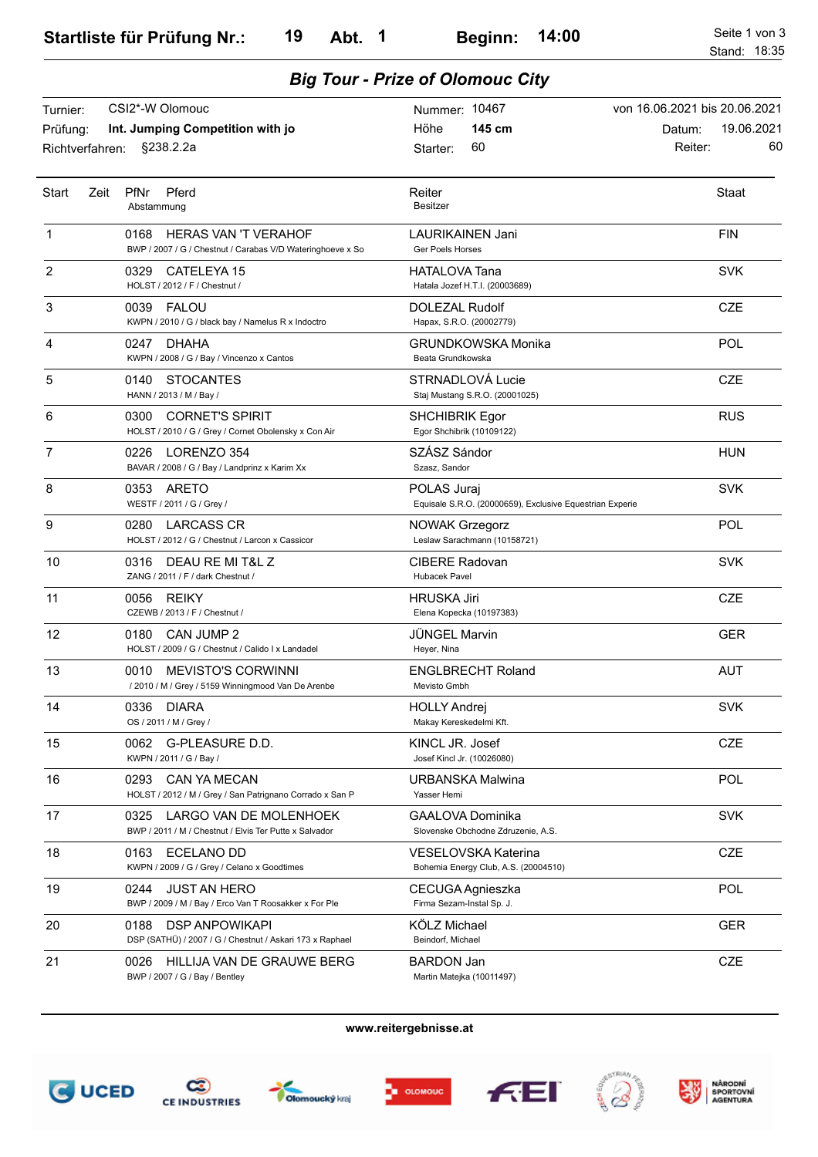| CSI2*-W Olomouc<br>Turnier:<br>Prüfung:<br>Int. Jumping Competition with jo<br>§238.2.2a<br>Richtverfahren: |                                                                                                   | Nummer: 10467                                                           | von 16.06.2021 bis 20.06.2021         |
|-------------------------------------------------------------------------------------------------------------|---------------------------------------------------------------------------------------------------|-------------------------------------------------------------------------|---------------------------------------|
|                                                                                                             |                                                                                                   | 145 cm<br>Höhe<br>60<br>Starter:                                        | 19.06.2021<br>Datum:<br>60<br>Reiter: |
| Start<br>Zeit                                                                                               | PfNr<br>Pferd<br>Abstammung                                                                       | Reiter<br><b>Besitzer</b>                                               | <b>Staat</b>                          |
| 1                                                                                                           | 0168<br><b>HERAS VAN 'T VERAHOF</b><br>BWP / 2007 / G / Chestnut / Carabas V/D Wateringhoeve x So | LAURIKAINEN Jani<br>Ger Poels Horses                                    | <b>FIN</b>                            |
| 2                                                                                                           | CATELEYA 15<br>0329<br>HOLST / 2012 / F / Chestnut /                                              | HATALOVA Tana<br>Hatala Jozef H.T.I. (20003689)                         | <b>SVK</b>                            |
| 3                                                                                                           | 0039<br><b>FALOU</b><br>KWPN / 2010 / G / black bay / Namelus R x Indoctro                        | DOLEZAL Rudolf<br>Hapax, S.R.O. (20002779)                              | <b>CZE</b>                            |
| 4                                                                                                           | 0247<br>DHAHA<br>KWPN / 2008 / G / Bay / Vincenzo x Cantos                                        | GRUNDKOWSKA Monika<br>Beata Grundkowska                                 | POL                                   |
| 5                                                                                                           | 0140<br><b>STOCANTES</b><br>HANN / 2013 / M / Bay /                                               | STRNADLOVÁ Lucie<br>Staj Mustang S.R.O. (20001025)                      | <b>CZE</b>                            |
| 6                                                                                                           | 0300<br><b>CORNET'S SPIRIT</b><br>HOLST / 2010 / G / Grey / Cornet Obolensky x Con Air            | <b>SHCHIBRIK Egor</b><br>Egor Shchibrik (10109122)                      | <b>RUS</b>                            |
| 7                                                                                                           | LORENZO 354<br>0226<br>BAVAR / 2008 / G / Bay / Landprinz x Karim Xx                              | SZÁSZ Sándor<br>Szasz, Sandor                                           | <b>HUN</b>                            |
| 8                                                                                                           | 0353<br>ARETO<br>WESTF / 2011 / G / Grey /                                                        | POLAS Juraj<br>Equisale S.R.O. (20000659), Exclusive Equestrian Experie | <b>SVK</b>                            |
| 9                                                                                                           | 0280<br><b>LARCASS CR</b><br>HOLST / 2012 / G / Chestnut / Larcon x Cassicor                      | <b>NOWAK Grzegorz</b><br>Leslaw Sarachmann (10158721)                   | POL                                   |
| 10                                                                                                          | DEAU RE MI T&L Z<br>0316<br>ZANG / 2011 / F / dark Chestnut /                                     | <b>CIBERE Radovan</b><br><b>Hubacek Pavel</b>                           | <b>SVK</b>                            |
| 11                                                                                                          | <b>REIKY</b><br>0056<br>CZEWB / 2013 / F / Chestnut /                                             | HRUSKA Jiri<br>Elena Kopecka (10197383)                                 | <b>CZE</b>                            |
| 12                                                                                                          | CAN JUMP 2<br>0180<br>HOLST / 2009 / G / Chestnut / Calido I x Landadel                           | <b>JÜNGEL Marvin</b><br>Heyer, Nina                                     | <b>GER</b>                            |
| 13                                                                                                          | 0010<br><b>MEVISTO'S CORWINNI</b><br>/ 2010 / M / Grey / 5159 Winningmood Van De Arenbe           | <b>ENGLBRECHT Roland</b><br>Mevisto Gmbh                                | <b>AUT</b>                            |
| 14                                                                                                          | 0336<br><b>DIARA</b><br>OS / 2011 / M / Grey /                                                    | <b>HOLLY Andrej</b><br>Makay Kereskedelmi Kft.                          | <b>SVK</b>                            |
| 15                                                                                                          | 0062 G-PLEASURE D.D.<br>KWPN / 2011 / G / Bay /                                                   | KINCL JR. Josef<br>Josef Kincl Jr. (10026080)                           | <b>CZE</b>                            |
| 16                                                                                                          | 0293<br><b>CAN YA MECAN</b><br>HOLST / 2012 / M / Grey / San Patrignano Corrado x San P           | URBANSKA Malwina<br>Yasser Hemi                                         | POL                                   |
| 17                                                                                                          | 0325<br>LARGO VAN DE MOLENHOEK<br>BWP / 2011 / M / Chestnut / Elvis Ter Putte x Salvador          | <b>GAALOVA Dominika</b><br>Slovenske Obchodne Zdruzenie, A.S.           | <b>SVK</b>                            |
| 18                                                                                                          | 0163<br>ECELANO DD<br>KWPN / 2009 / G / Grey / Celano x Goodtimes                                 | VESELOVSKA Katerina<br>Bohemia Energy Club, A.S. (20004510)             | <b>CZE</b>                            |
| 19                                                                                                          | 0244<br><b>JUST AN HERO</b><br>BWP / 2009 / M / Bay / Erco Van T Roosakker x For Ple              | CECUGA Agnieszka<br>Firma Sezam-Instal Sp. J.                           | POL                                   |
| 20                                                                                                          | <b>DSP ANPOWIKAPI</b><br>0188<br>DSP (SATHÜ) / 2007 / G / Chestnut / Askari 173 x Raphael         | KÖLZ Michael<br>Beindorf, Michael                                       | <b>GER</b>                            |
| 21                                                                                                          | HILLIJA VAN DE GRAUWE BERG<br>0026<br>BWP / 2007 / G / Bay / Bentley                              | <b>BARDON Jan</b><br>Martin Matejka (10011497)                          | CZE                                   |

*Big Tour - Prize of Olomouc City*













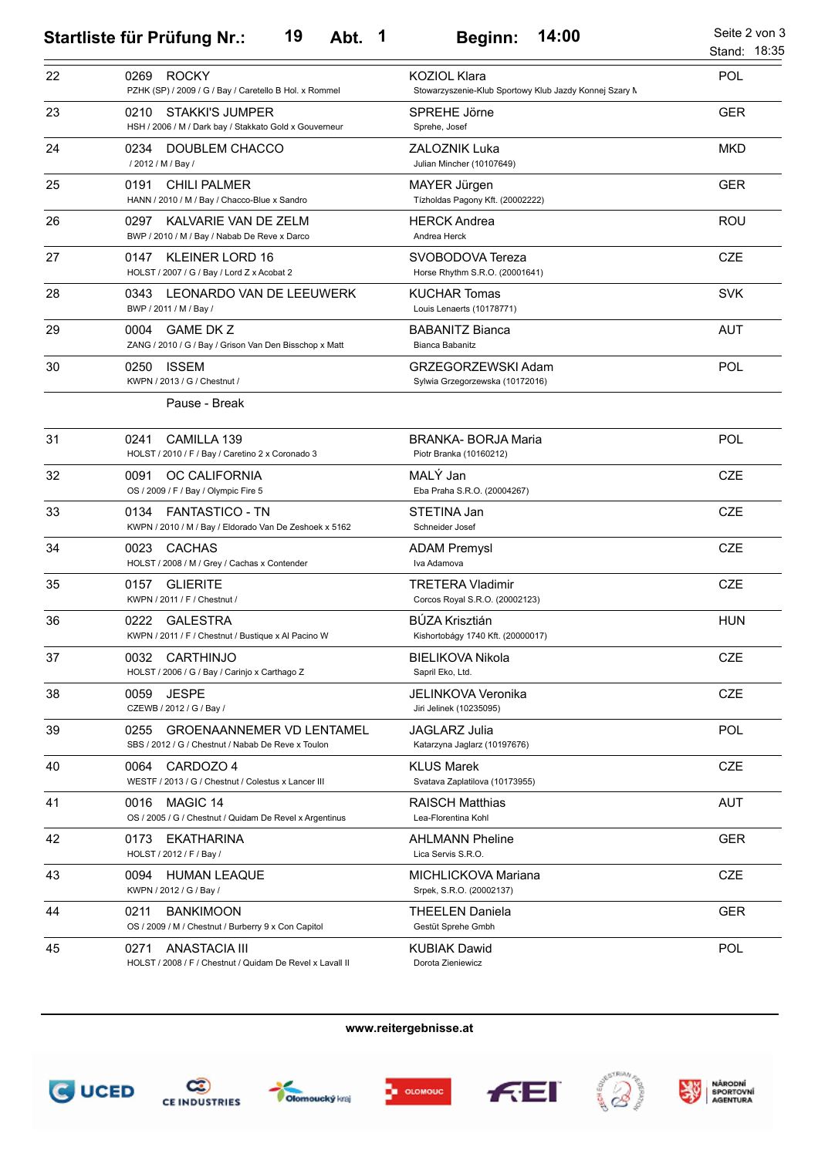## **Startliste für Prüfung Nr.: Abt. Beginn: 19 1 14:00** Seite 2 von 3

|    |                                                                                                |                                                                               | Stand: 18:35 |
|----|------------------------------------------------------------------------------------------------|-------------------------------------------------------------------------------|--------------|
| 22 | 0269<br><b>ROCKY</b><br>PZHK (SP) / 2009 / G / Bay / Caretello B Hol. x Rommel                 | <b>KOZIOL Klara</b><br>Stowarzyszenie-Klub Sportowy Klub Jazdy Konnej Szary M | POL          |
| 23 | STAKKI'S JUMPER<br>0210<br>HSH / 2006 / M / Dark bay / Stakkato Gold x Gouverneur              | SPREHE Jörne<br>Sprehe, Josef                                                 | <b>GER</b>   |
| 24 | 0234<br>DOUBLEM CHACCO<br>/ 2012 / M / Bay /                                                   | ZALOZNIK Luka<br>Julian Mincher (10107649)                                    | <b>MKD</b>   |
| 25 | 0191<br><b>CHILI PALMER</b><br>HANN / 2010 / M / Bay / Chacco-Blue x Sandro                    | MAYER Jürgen<br>Tízholdas Pagony Kft. (20002222)                              | <b>GER</b>   |
| 26 | KALVARIE VAN DE ZELM<br>0297<br>BWP / 2010 / M / Bay / Nabab De Reve x Darco                   | <b>HERCK Andrea</b><br>Andrea Herck                                           | <b>ROU</b>   |
| 27 | <b>KLEINER LORD 16</b><br>0147<br>HOLST / 2007 / G / Bay / Lord Z x Acobat 2                   | SVOBODOVA Tereza<br>Horse Rhythm S.R.O. (20001641)                            | <b>CZE</b>   |
| 28 | LEONARDO VAN DE LEEUWERK<br>0343<br>BWP / 2011 / M / Bay /                                     | <b>KUCHAR Tomas</b><br>Louis Lenaerts (10178771)                              | <b>SVK</b>   |
| 29 | 0004<br><b>GAME DK Z</b><br>ZANG / 2010 / G / Bay / Grison Van Den Bisschop x Matt             | <b>BABANITZ Bianca</b><br>Bianca Babanitz                                     | <b>AUT</b>   |
| 30 | 0250<br><b>ISSEM</b><br>KWPN / 2013 / G / Chestnut /                                           | GRZEGORZEWSKI Adam<br>Sylwia Grzegorzewska (10172016)                         | POL          |
|    | Pause - Break                                                                                  |                                                                               |              |
| 31 | CAMILLA 139<br>0241<br>HOLST / 2010 / F / Bay / Caretino 2 x Coronado 3                        | <b>BRANKA- BORJA Maria</b><br>Piotr Branka (10160212)                         | POL          |
| 32 | 0091<br>OC CALIFORNIA<br>OS / 2009 / F / Bay / Olympic Fire 5                                  | MALÝ Jan<br>Eba Praha S.R.O. (20004267)                                       | <b>CZE</b>   |
| 33 | 0134<br><b>FANTASTICO - TN</b><br>KWPN / 2010 / M / Bay / Eldorado Van De Zeshoek x 5162       | STETINA Jan<br>Schneider Josef                                                | <b>CZE</b>   |
| 34 | 0023<br><b>CACHAS</b><br>HOLST / 2008 / M / Grey / Cachas x Contender                          | <b>ADAM Premysl</b><br>Iva Adamova                                            | <b>CZE</b>   |
| 35 | <b>GLIERITE</b><br>0157<br>KWPN / 2011 / F / Chestnut /                                        | TRETERA Vladimir<br>Corcos Royal S.R.O. (20002123)                            | <b>CZE</b>   |
| 36 | 0222<br><b>GALESTRA</b><br>KWPN / 2011 / F / Chestnut / Bustique x Al Pacino W                 | <b>BÚZA Krisztián</b><br>Kishortobágy 1740 Kft. (20000017)                    | <b>HUN</b>   |
| 37 | 0032<br>CARTHINJO<br>HOLST / 2006 / G / Bay / Carinjo x Carthago Z                             | <b>BIELIKOVA Nikola</b><br>Sapril Eko, Ltd.                                   | CZE          |
| 38 | <b>JESPE</b><br>0059<br>CZEWB / 2012 / G / Bay /                                               | JELINKOVA Veronika<br>Jiri Jelinek (10235095)                                 | <b>CZE</b>   |
| 39 | <b>GROENAANNEMER VD LENTAMEL</b><br>0255<br>SBS / 2012 / G / Chestnut / Nabab De Reve x Toulon | <b>JAGLARZ Julia</b><br>Katarzyna Jaglarz (10197676)                          | POL          |
| 40 | 0064<br>CARDOZO 4<br>WESTF / 2013 / G / Chestnut / Colestus x Lancer III                       | <b>KLUS Marek</b><br>Svatava Zaplatilova (10173955)                           | <b>CZE</b>   |
| 41 | 0016<br>MAGIC 14<br>OS / 2005 / G / Chestnut / Quidam De Revel x Argentinus                    | <b>RAISCH Matthias</b><br>Lea-Florentina Kohl                                 | <b>AUT</b>   |
| 42 | <b>EKATHARINA</b><br>0173<br>HOLST / 2012 / F / Bay /                                          | <b>AHLMANN Pheline</b><br>Lica Servis S.R.O.                                  | <b>GER</b>   |
| 43 | 0094<br><b>HUMAN LEAQUE</b><br>KWPN / 2012 / G / Bay /                                         | MICHLICKOVA Mariana<br>Srpek, S.R.O. (20002137)                               | <b>CZE</b>   |
| 44 | 0211<br><b>BANKIMOON</b><br>OS / 2009 / M / Chestnut / Burberry 9 x Con Capitol                | THEELEN Daniela<br>Gestüt Sprehe Gmbh                                         | <b>GER</b>   |
| 45 | 0271<br>ANASTACIA III<br>HOLST / 2008 / F / Chestnut / Quidam De Revel x Lavall II             | <b>KUBIAK Dawid</b><br>Dorota Zieniewicz                                      | POL          |

**www.reitergebnisse.at**





**Olomoucký** kraj